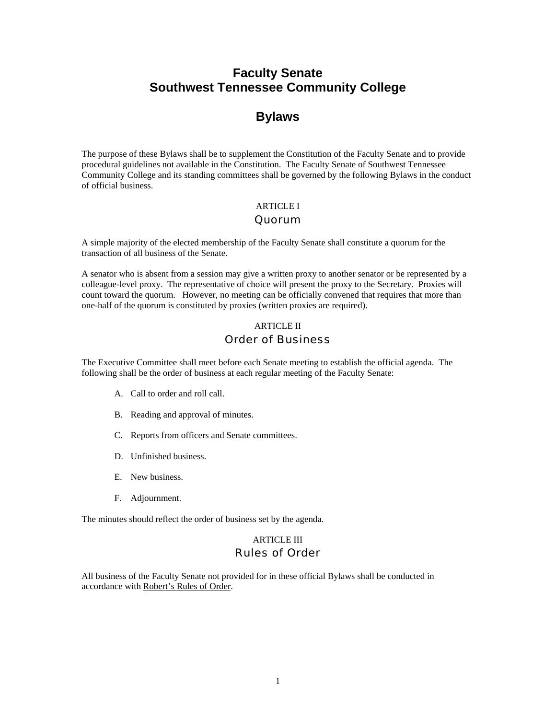# **Faculty Senate Southwest Tennessee Community College**

# **Bylaws**

The purpose of these Bylaws shall be to supplement the Constitution of the Faculty Senate and to provide procedural guidelines not available in the Constitution. The Faculty Senate of Southwest Tennessee Community College and its standing committees shall be governed by the following Bylaws in the conduct of official business.

# ARTICLE I

## Quorum

A simple majority of the elected membership of the Faculty Senate shall constitute a quorum for the transaction of all business of the Senate.

A senator who is absent from a session may give a written proxy to another senator or be represented by a colleague-level proxy. The representative of choice will present the proxy to the Secretary. Proxies will count toward the quorum. However, no meeting can be officially convened that requires that more than one-half of the quorum is constituted by proxies (written proxies are required).

# ARTICLE II Order of Business

The Executive Committee shall meet before each Senate meeting to establish the official agenda. The following shall be the order of business at each regular meeting of the Faculty Senate:

- A. Call to order and roll call.
- B. Reading and approval of minutes.
- C. Reports from officers and Senate committees.
- D. Unfinished business.
- E. New business.
- F. Adjournment.

The minutes should reflect the order of business set by the agenda.

# ARTICLE III Rules of Order

All business of the Faculty Senate not provided for in these official Bylaws shall be conducted in accordance with Robert's Rules of Order.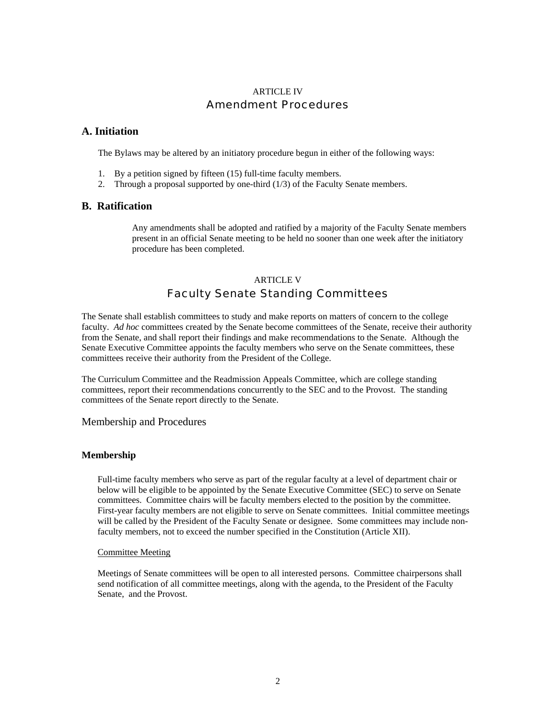# ARTICLE IV Amendment Procedures

## **A. Initiation**

The Bylaws may be altered by an initiatory procedure begun in either of the following ways:

- 1. By a petition signed by fifteen (15) full-time faculty members.
- 2. Through a proposal supported by one-third (1/3) of the Faculty Senate members.

## **B. Ratification**

Any amendments shall be adopted and ratified by a majority of the Faculty Senate members present in an official Senate meeting to be held no sooner than one week after the initiatory procedure has been completed.

# ARTICLE V Faculty Senate Standing Committees

The Senate shall establish committees to study and make reports on matters of concern to the college faculty. *Ad hoc* committees created by the Senate become committees of the Senate, receive their authority from the Senate, and shall report their findings and make recommendations to the Senate. Although the Senate Executive Committee appoints the faculty members who serve on the Senate committees, these committees receive their authority from the President of the College.

The Curriculum Committee and the Readmission Appeals Committee, which are college standing committees, report their recommendations concurrently to the SEC and to the Provost. The standing committees of the Senate report directly to the Senate.

Membership and Procedures

## **Membership**

 Full-time faculty members who serve as part of the regular faculty at a level of department chair or below will be eligible to be appointed by the Senate Executive Committee (SEC) to serve on Senate committees. Committee chairs will be faculty members elected to the position by the committee. First-year faculty members are not eligible to serve on Senate committees. Initial committee meetings will be called by the President of the Faculty Senate or designee. Some committees may include non faculty members, not to exceed the number specified in the Constitution (Article XII).

### Committee Meeting

 Meetings of Senate committees will be open to all interested persons. Committee chairpersons shall send notification of all committee meetings, along with the agenda, to the President of the Faculty Senate, and the Provost.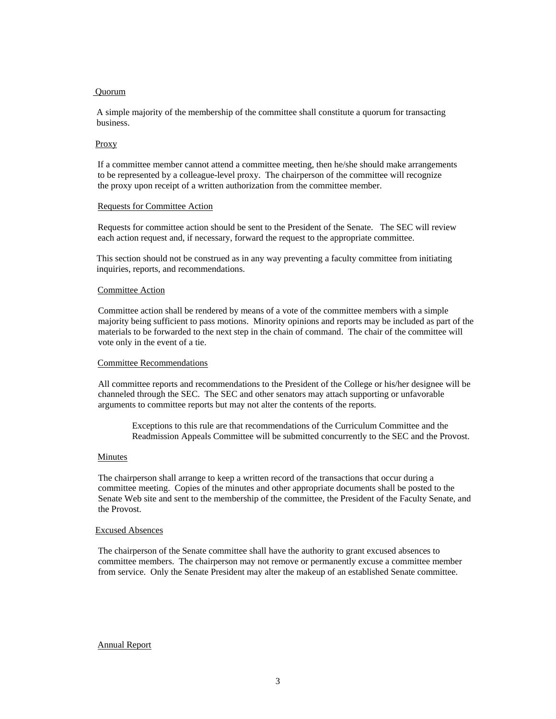### Quorum

A simple majority of the membership of the committee shall constitute a quorum for transacting business.

#### Proxy

 If a committee member cannot attend a committee meeting, then he/she should make arrangements to be represented by a colleague-level proxy. The chairperson of the committee will recognize the proxy upon receipt of a written authorization from the committee member.

#### Requests for Committee Action

 Requests for committee action should be sent to the President of the Senate. The SEC will review each action request and, if necessary, forward the request to the appropriate committee.

This section should not be construed as in any way preventing a faculty committee from initiating inquiries, reports, and recommendations.

#### Committee Action

Committee action shall be rendered by means of a vote of the committee members with a simple majority being sufficient to pass motions. Minority opinions and reports may be included as part of the materials to be forwarded to the next step in the chain of command. The chair of the committee will vote only in the event of a tie.

#### Committee Recommendations

All committee reports and recommendations to the President of the College or his/her designee will be channeled through the SEC. The SEC and other senators may attach supporting or unfavorable arguments to committee reports but may not alter the contents of the reports.

Exceptions to this rule are that recommendations of the Curriculum Committee and the Readmission Appeals Committee will be submitted concurrently to the SEC and the Provost.

#### Minutes

The chairperson shall arrange to keep a written record of the transactions that occur during a committee meeting. Copies of the minutes and other appropriate documents shall be posted to the Senate Web site and sent to the membership of the committee, the President of the Faculty Senate, and the Provost.

#### Excused Absences

The chairperson of the Senate committee shall have the authority to grant excused absences to committee members. The chairperson may not remove or permanently excuse a committee member from service. Only the Senate President may alter the makeup of an established Senate committee.

### Annual Report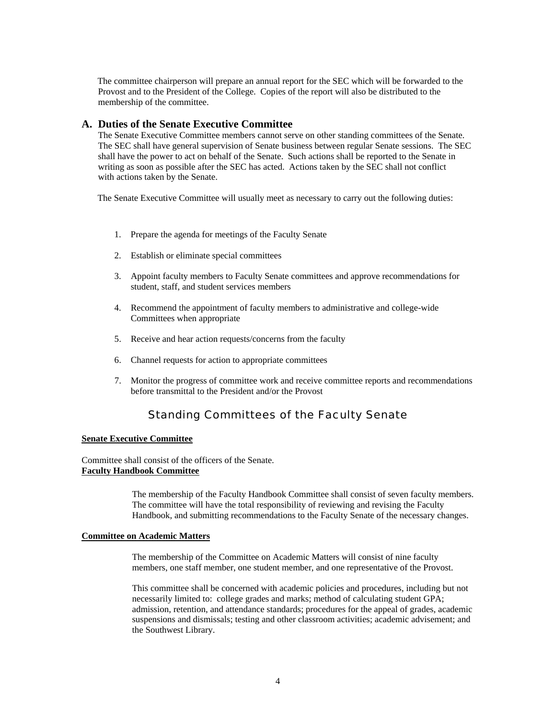The committee chairperson will prepare an annual report for the SEC which will be forwarded to the Provost and to the President of the College. Copies of the report will also be distributed to the membership of the committee.

## **A. Duties of the Senate Executive Committee**

The Senate Executive Committee members cannot serve on other standing committees of the Senate. The SEC shall have general supervision of Senate business between regular Senate sessions. The SEC shall have the power to act on behalf of the Senate. Such actions shall be reported to the Senate in writing as soon as possible after the SEC has acted. Actions taken by the SEC shall not conflict with actions taken by the Senate.

The Senate Executive Committee will usually meet as necessary to carry out the following duties:

- 1. Prepare the agenda for meetings of the Faculty Senate
- 2. Establish or eliminate special committees
- 3. Appoint faculty members to Faculty Senate committees and approve recommendations for student, staff, and student services members
- 4. Recommend the appointment of faculty members to administrative and college-wide Committees when appropriate
- 5. Receive and hear action requests/concerns from the faculty
- 6. Channel requests for action to appropriate committees
- 7. Monitor the progress of committee work and receive committee reports and recommendations before transmittal to the President and/or the Provost

# Standing Committees of the Faculty Senate

### **Senate Executive Committee**

Committee shall consist of the officers of the Senate. **Faculty Handbook Committee**

> The membership of the Faculty Handbook Committee shall consist of seven faculty members. The committee will have the total responsibility of reviewing and revising the Faculty Handbook, and submitting recommendations to the Faculty Senate of the necessary changes.

### **Committee on Academic Matters**

The membership of the Committee on Academic Matters will consist of nine faculty members, one staff member, one student member, and one representative of the Provost.

This committee shall be concerned with academic policies and procedures, including but not necessarily limited to: college grades and marks; method of calculating student GPA; admission, retention, and attendance standards; procedures for the appeal of grades, academic suspensions and dismissals; testing and other classroom activities; academic advisement; and the Southwest Library.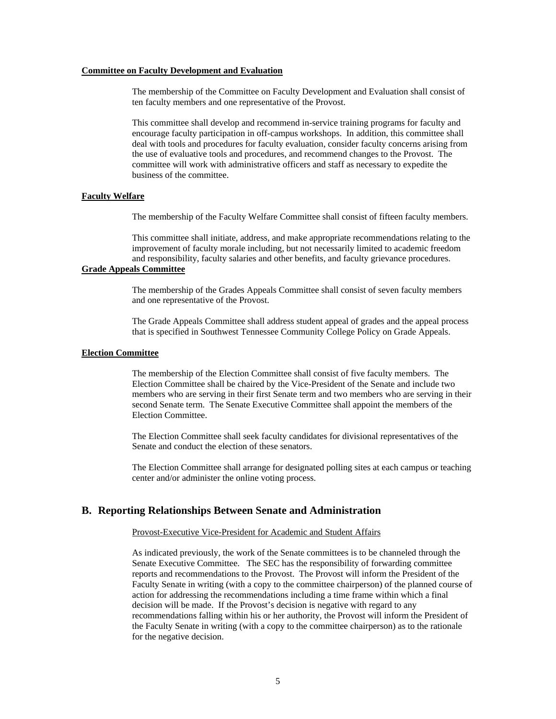### **Committee on Faculty Development and Evaluation**

The membership of the Committee on Faculty Development and Evaluation shall consist of ten faculty members and one representative of the Provost.

This committee shall develop and recommend in-service training programs for faculty and encourage faculty participation in off-campus workshops. In addition, this committee shall deal with tools and procedures for faculty evaluation, consider faculty concerns arising from the use of evaluative tools and procedures, and recommend changes to the Provost. The committee will work with administrative officers and staff as necessary to expedite the business of the committee.

#### **Faculty Welfare**

The membership of the Faculty Welfare Committee shall consist of fifteen faculty members.

This committee shall initiate, address, and make appropriate recommendations relating to the improvement of faculty morale including, but not necessarily limited to academic freedom and responsibility, faculty salaries and other benefits, and faculty grievance procedures.

## **Grade Appeals Committee**

The membership of the Grades Appeals Committee shall consist of seven faculty members and one representative of the Provost.

The Grade Appeals Committee shall address student appeal of grades and the appeal process that is specified in Southwest Tennessee Community College Policy on Grade Appeals.

#### **Election Committee**

The membership of the Election Committee shall consist of five faculty members. The Election Committee shall be chaired by the Vice-President of the Senate and include two members who are serving in their first Senate term and two members who are serving in their second Senate term. The Senate Executive Committee shall appoint the members of the Election Committee.

The Election Committee shall seek faculty candidates for divisional representatives of the Senate and conduct the election of these senators.

The Election Committee shall arrange for designated polling sites at each campus or teaching center and/or administer the online voting process.

### **B. Reporting Relationships Between Senate and Administration**

#### Provost-Executive Vice-President for Academic and Student Affairs

As indicated previously, the work of the Senate committees is to be channeled through the Senate Executive Committee. The SEC has the responsibility of forwarding committee reports and recommendations to the Provost. The Provost will inform the President of the Faculty Senate in writing (with a copy to the committee chairperson) of the planned course of action for addressing the recommendations including a time frame within which a final decision will be made. If the Provost's decision is negative with regard to any recommendations falling within his or her authority, the Provost will inform the President of the Faculty Senate in writing (with a copy to the committee chairperson) as to the rationale for the negative decision.